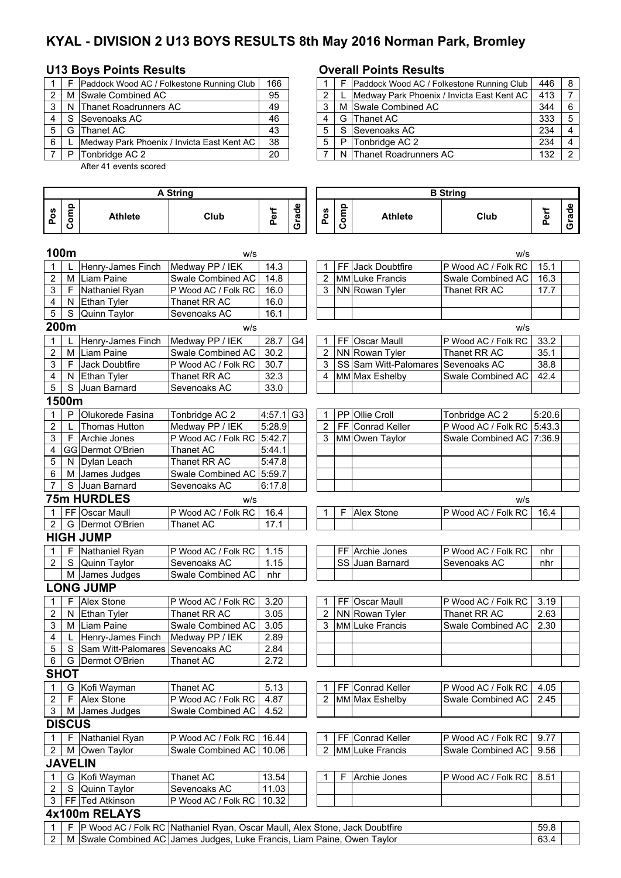# **KYAL - DIVISION 2 U13 BOYS RESULTS 8th May 2016 Norman Park, Bromley**

### **U13 Boys Points Results Overall Points Results**

|   |   | Paddock Wood AC / Folkestone Running Club  | 166 |   | F | Paddock Wood AC / Folke  |
|---|---|--------------------------------------------|-----|---|---|--------------------------|
|   |   | M Swale Combined AC                        | 95  |   |   | Medway Park Phoenix / Ir |
| 3 |   | N Thanet Roadrunners AC                    | 49  |   |   | M Swale Combined AC      |
|   |   | Sevenoaks AC                               | 46  |   |   | G Thanet AC              |
| 5 | G | <b>Thanet AC</b>                           | 43  | 5 | S | Sevenoaks AC             |
| 6 |   | Medway Park Phoenix / Invicta East Kent AC | 38  | 5 | P | Tonbridge AC 2           |
|   |   | Tonbridge AC 2                             | 20  |   |   | N Thanet Roadrunners AC  |

After 41 events scored

### **Pos Comp Athlete Club Perf Grade Pos Comp Athlete Club Perf Grade 100m** w/s w/s 1 L Henry-James Finch Medway PP / IEK | 14.3 | | | 1 | FF Jack Doubtfire P Wood AC / Folk RC | 15.1 2 M Liam Paine Swale Combined AC 14.8 2 MM Luke Francis Swale Combined AC 16.3 3 | F | Nathaniel Ryan | P Wood AC / Folk RC | 16.0 | | | 3 | NN Rowan Tyler | Thanet RR AC | 17.7 4 | N Ethan Tyler | Thanet RR AC | 16.0 5 | S | Quinn Taylor | Sevenoaks AC | 16.1 **200m** w/s w/s 1 L Henry-James Finch Medway PP / IEK 28.7 G4 1 FF Oscar Maull P Wood AC / Folk RC 33.2<br>2 M Liam Paine Swale Combined AC 30.2 2 NN Rowan Tyler Thanet RR AC 35.1 2 M Liam Paine Swale Combined AC 30.2 2 NN Rowan Tyler Thanet RR AC 35.1<br>3 F Jack Doubtfire P Wood AC / Folk RC 30.7 3 SS Sam Witt-Palomares Sevenoaks AC 38.8 3 F Jack Doubtfire P Wood AC / Folk RC 30.7 3 SS Sam Witt-Palomares Sevenoaks AC 38.8<br>
4 MM Max Eshelby Swale Combined AC 42.4 4 N Ethan Tyler Thanet RR AC 32.3 4 MM Max Eshelby Swale Combined AC 42.4<br>5 S Juan Barnard Sevenoaks AC 33.0 5 S Juan Barnard **1500m** 1 P Olukorede Fasina Tonbridge AC 2 4:57.1 G3 1 PP Ollie Croll Tonbridge AC 2 5:20.6 2 | L |Thomas Hutton | Medway PP / IEK | 5:28.9 | | 2 | FF | Conrad Keller | P Wood AC / Folk RC | 5:43.3 3 | F Archie Jones P Wood AC / Folk RC 5:42.7 | 3 MM Owen Taylor Swale Combined AC 7:36.9 4 GG Dermot O'Brien | Thanet AC | 5:44.1 5 N Dylan Leach Thanet RR AC 5:47.8 6 M James Judges Swale Combined AC 5:59.7 7 S Juan Barnard Sevenoaks AC 6:17.8 **75m HURDLES** w/s w/s 1 FF Oscar Maull P Wood AC / Folk RC 16.4 1 F Alex Stone P Wood AC / Folk RC 16.4 2 G Dermot O'Brien Thanet AC 17.1 **HIGH JUMP** 1 F Nathaniel Ryan P Wood AC / Folk RC 1.15 FF Archie Jones P Wood AC / Folk RC nhr 2 S Quinn Taylor Sevenoaks AC 1.15 SS Juan Barnard Sevenoaks AC nhr M James Judges Swale Combined AC nhr **LONG JUMP**<br>1 | F Alex Stone P Wood AC / Folk RC 3.20 1 FF Oscar Maull P Wood AC / Folk RC 3.19<br>Thanet RR AC 3.05 2 NN Rowan Tyler Thanet RR AC 2.63 2 N Ethan Tyler Thanet RR AC 3.05 2 NN Rowan Tyler Thanet RR AC 2.63<br>3 M Liam Paine Swale Combined AC 3.05 3 MM Luke Francis Swale Combined AC 2.30 3 M Liam Paine Swale Combined AC 3.05 3 MM Luke Francis Swale Combined AC 4 L Henry-James Finch Medway PP / IEK 2.89 5 S S Sam Witt-Palomares Sevenoaks AC 2.84 6 G Dermot O'Brien Thanet AC 2.72 **SHOT**  1 G Kofi Wayman Thanet AC 1 S.13 | | | 1 | FF Conrad Keller P Wood AC / Folk RC | 4.05 2 | F | Alex Stone | P Wood AC / Folk RC | 4.87 | | | | 2 | MM Max Eshelby | Swale Combined AC | 2.45 3 | M | James Judges | Swale Combined AC | 4.52 **DISCUS** 1 F Nathaniel Ryan P Wood AC / Folk RC 16.44 1 FF Conrad Keller P Wood AC / Folk RC 9.77<br>2 M Owen Taylor Swale Combined AC 10.06 2 MM Luke Francis Swale Combined AC 9.56 2 M Owen Taylor Swale Combined AC 10.06 2 MM Luke Francis Swale Combined AC 9.56 **JAVELIN** 1 G Kofi Wayman Thanet AC 13.54 1 F Archie Jones P Wood AC / Folk RC 8.51 2 S Quinn Taylor Sevenoaks AC 11.03 3 FF Ted Atkinson P Wood AC / Folk RC 10.32 **4x100m RELAYS** 1 F P Wood AC / Folk RC |Nathaniel Ryan, Oscar Maull, Alex Stone, Jack Doubtfire | 59.8 **A String B String** Nathaniel Ryan, Oscar Maull, Alex Stone, Jack Doubtfire

|  |             | IP Wood AC / Folk RC INathaniel Rvan. Oscar Maull. Alex Stone. Jack Doubtfire | 59.8 |  |
|--|-------------|-------------------------------------------------------------------------------|------|--|
|  | ∟M ISwale ( | Combined AC  James Judges, Luke Francis, Liam Paine, Owen Taylor              | 63.  |  |

|   |       | Paddock Wood AC / Folkestone Running Club  | 166 |  |   | Paddock Wood AC / Folkestone Running Club  | 446 | l 8 |
|---|-------|--------------------------------------------|-----|--|---|--------------------------------------------|-----|-----|
|   |       | 2   M   Swale Combined AC                  | 95  |  |   | Medway Park Phoenix / Invicta East Kent AC | 413 |     |
|   |       | 3 N Thanet Roadrunners AC                  | 49  |  |   | M Swale Combined AC                        | 344 |     |
|   | 4 I S | Sevenoaks AC                               | 46  |  |   | G Thanet AC                                | 333 |     |
|   | 5 I G | Thanet AC                                  | 43  |  |   | S Sevenoaks AC                             | 234 |     |
| 6 |       | Medway Park Phoenix / Invicta East Kent AC | 38  |  | P | Tonbridge AC 2                             | 234 |     |
|   | P     | Tonbridge AC 2                             | 20  |  |   | N Thanet Roadrunners AC                    | 132 |     |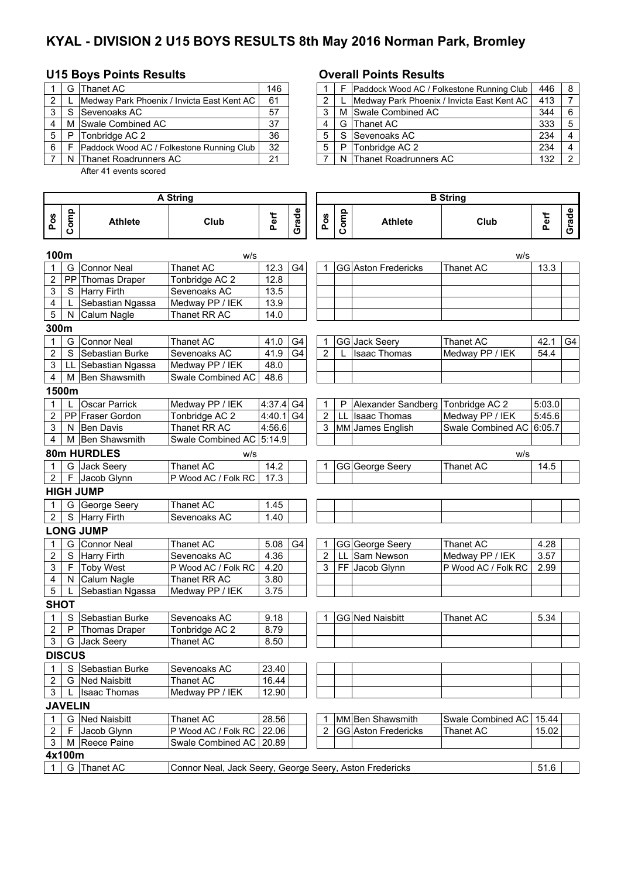# **KYAL - DIVISION 2 U15 BOYS RESULTS 8th May 2016 Norman Park, Bromley**

# **U15 Boys Points Results Overall Points Results**

|   |   | G IThanet AC                               | 146 |  | Paddock Wood AC / Folkestone Running Club  | 446 | <b>B</b>       |
|---|---|--------------------------------------------|-----|--|--------------------------------------------|-----|----------------|
| 2 |   | Medway Park Phoenix / Invicta East Kent AC | 61  |  | Medway Park Phoenix / Invicta East Kent AC | 413 |                |
| ◠ |   | S Sevenoaks AC                             | 57  |  | M Swale Combined AC                        | 344 | 6              |
| 4 |   | M Swale Combined AC                        | 37  |  | G Thanet AC                                | 333 | 5              |
|   | P | Tonbridge AC 2                             | 36  |  | S Sevenoaks AC                             | 234 | $\overline{4}$ |
| 6 |   | Paddock Wood AC / Folkestone Running Club  | 32  |  | P Tonbridge AC 2                           | 234 | $\overline{4}$ |
|   |   | N Thanet Roadrunners AC                    | 21  |  | N Thanet Roadrunners AC                    | 132 | າ              |
|   |   |                                            |     |  |                                            |     |                |

After 41 events scored

|                | G     | Thanet AC                                            | 146 |  |   | Paddock Wood AC / Folkestone Running Club  | 446 | -8  |
|----------------|-------|------------------------------------------------------|-----|--|---|--------------------------------------------|-----|-----|
| $\overline{2}$ |       | <b>IMedway Park Phoenix / Invicta East Kent AC I</b> | 61  |  |   | Medway Park Phoenix / Invicta East Kent AC | 413 |     |
|                | 3 I S | Sevenoaks AC                                         | 57  |  |   | M Swale Combined AC                        | 344 | - 6 |
| 4              |       | M Swale Combined AC                                  | 37  |  |   | G Thanet AC                                | 333 |     |
|                | 5   P | Tonbridge AC 2                                       | 36  |  |   | S Sevenoaks AC                             | 234 |     |
| 6 I            | -F    | Paddock Wood AC / Folkestone Running Club            | 32  |  | P | Tonbridge AC 2                             | 234 |     |
|                |       | N Thanet Roadrunners AC                              | 21  |  |   | N Thanet Roadrunners AC                    | 132 | ົ   |

|                         |              |                            | <b>A String</b>                                         |        |                |                |      |                                   | <b>B</b> String          |        |       |
|-------------------------|--------------|----------------------------|---------------------------------------------------------|--------|----------------|----------------|------|-----------------------------------|--------------------------|--------|-------|
| Pos                     | Comp         | <b>Athlete</b>             | Club                                                    | Perf   | Grade          | Pos            | Comp | <b>Athlete</b>                    | Club                     | Perf   | Grade |
| 100m                    |              |                            | w/s                                                     |        |                |                |      |                                   | w/s                      |        |       |
|                         | G            | <b>Connor Neal</b>         | Thanet AC                                               | 12.3   | G4             | 1              |      | GG Aston Fredericks               | Thanet AC                | 13.3   |       |
| $\overline{2}$          | PP           | Thomas Draper              | Tonbridge AC 2                                          | 12.8   |                |                |      |                                   |                          |        |       |
| 3                       |              | S Harry Firth              | Sevenoaks AC                                            | 13.5   |                |                |      |                                   |                          |        |       |
| 4                       | L            | Sebastian Ngassa           | Medway PP / IEK                                         | 13.9   |                |                |      |                                   |                          |        |       |
| 5                       | N            | Calum Nagle                | Thanet RR AC                                            | 14.0   |                |                |      |                                   |                          |        |       |
| 300m                    |              |                            |                                                         |        |                |                |      |                                   |                          |        |       |
| 1                       | G            | <b>Connor Neal</b>         | Thanet AC                                               | 41.0   | G4             | 1              |      | <b>GG</b> Jack Seery              | Thanet AC                | 42.1   | G4    |
| $\overline{2}$          | $\mathsf{S}$ | Sebastian Burke            | Sevenoaks AC                                            | 41.9   | G4             | $\overline{2}$ |      | <b>Isaac Thomas</b>               | Medway PP / IEK          | 54.4   |       |
| 3                       |              | LL Sebastian Ngassa        | Medway PP / IEK                                         | 48.0   |                |                |      |                                   |                          |        |       |
| 4                       | М            | <b>Ben Shawsmith</b>       | Swale Combined AC                                       | 48.6   |                |                |      |                                   |                          |        |       |
|                         | 1500m        |                            |                                                         |        |                |                |      |                                   |                          |        |       |
| 1                       |              | Oscar Parrick              | Medway PP / IEK                                         | 4:37.4 | G4             | 1              | P    | Alexander Sandberg Tonbridge AC 2 |                          | 5:03.0 |       |
| $\overline{2}$          |              | PP Fraser Gordon           | Tonbridge AC 2                                          | 4:40.1 | G <sub>4</sub> | $\overline{2}$ | LL   | <b>Isaac Thomas</b>               | Medway PP / IEK          | 5:45.6 |       |
| 3                       |              | N Ben Davis                | Thanet RR AC                                            | 4:56.6 |                | 3              |      | MM James English                  | Swale Combined AC 6:05.7 |        |       |
| 4                       |              | M Ben Shawsmith            | Swale Combined AC 5:14.9                                |        |                |                |      |                                   |                          |        |       |
|                         |              | 80m HURDLES                | w/s                                                     |        |                |                |      |                                   | W/S                      |        |       |
| $\overline{1}$          |              | G Jack Seery               | <b>Thanet AC</b>                                        | 14.2   |                |                |      | GG George Seery                   | Thanet AC                | 14.5   |       |
| $\overline{2}$          | F            | Jacob Glynn                | P Wood AC / Folk RC                                     | 17.3   |                |                |      |                                   |                          |        |       |
|                         |              | <b>HIGH JUMP</b>           |                                                         |        |                |                |      |                                   |                          |        |       |
|                         |              | G George Seery             | Thanet AC                                               | 1.45   |                |                |      |                                   |                          |        |       |
| $\overline{2}$          |              | $\overline{S}$ Harry Firth | Sevenoaks AC                                            | 1.40   |                |                |      |                                   |                          |        |       |
|                         |              | <b>LONG JUMP</b>           |                                                         |        |                |                |      |                                   |                          |        |       |
| 1                       | G            | Connor Neal                | Thanet AC                                               | 5.08   | G <sub>4</sub> | 1              |      | GG George Seery                   | Thanet AC                | 4.28   |       |
| $\overline{\mathbf{c}}$ | $\mathbf S$  | Harry Firth                | Sevenoaks AC                                            | 4.36   |                | $\overline{2}$ | LL   | Sam Newson                        | Medway PP / IEK          | 3.57   |       |
| 3                       | F            | <b>Toby West</b>           | P Wood AC / Folk RC                                     | 4.20   |                | 3              |      | FF Jacob Glynn                    | P Wood AC / Folk RC      | 2.99   |       |
| 4                       | N            | Calum Nagle                | Thanet RR AC                                            | 3.80   |                |                |      |                                   |                          |        |       |
| 5                       |              | Sebastian Ngassa           | Medway PP / IEK                                         | 3.75   |                |                |      |                                   |                          |        |       |
| <b>SHOT</b>             |              |                            |                                                         |        |                |                |      |                                   |                          |        |       |
| $\mathbf 1$             | S            | Sebastian Burke            | Sevenoaks AC                                            | 9.18   |                | 1              |      | GG Ned Naisbitt                   | Thanet AC                | 5.34   |       |
| $\mathbf 2$             | P            | Thomas Draper              | Tonbridge AC 2                                          | 8.79   |                |                |      |                                   |                          |        |       |
| 3                       |              | G Jack Seery               | <b>Thanet AC</b>                                        | 8.50   |                |                |      |                                   |                          |        |       |
| <b>DISCUS</b>           |              |                            |                                                         |        |                |                |      |                                   |                          |        |       |
| 1                       | S.           | Sebastian Burke            | Sevenoaks AC                                            | 23.40  |                |                |      |                                   |                          |        |       |
| $\overline{2}$          |              | G Ned Naisbitt             | Thanet AC                                               | 16.44  |                |                |      |                                   |                          |        |       |
| 3                       |              | <b>Isaac Thomas</b>        | Medway PP / IEK                                         | 12.90  |                |                |      |                                   |                          |        |       |
| <b>JAVELIN</b>          |              |                            |                                                         |        |                |                |      |                                   |                          |        |       |
|                         |              |                            |                                                         |        |                |                |      |                                   |                          |        |       |
| 1                       | G            | <b>Ned Naisbitt</b>        | Thanet AC<br>P Wood AC / Folk RC                        | 28.56  |                |                |      | MM Ben Shawsmith                  | Swale Combined AC        | 15.44  |       |
| 2                       | F            | Jacob Glynn                |                                                         | 22.06  |                | $\overline{2}$ |      | <b>GG</b> Aston Fredericks        | Thanet AC                | 15.02  |       |
| $\mathbf{3}$            |              | M Reece Paine              | Swale Combined AC                                       | 20.89  |                |                |      |                                   |                          |        |       |
| 4x100m                  |              |                            |                                                         |        |                |                |      |                                   |                          |        |       |
| $\mathbf{1}$            |              | G Thanet AC                | Connor Neal, Jack Seery, George Seery, Aston Fredericks |        |                |                |      |                                   |                          | 51.6   |       |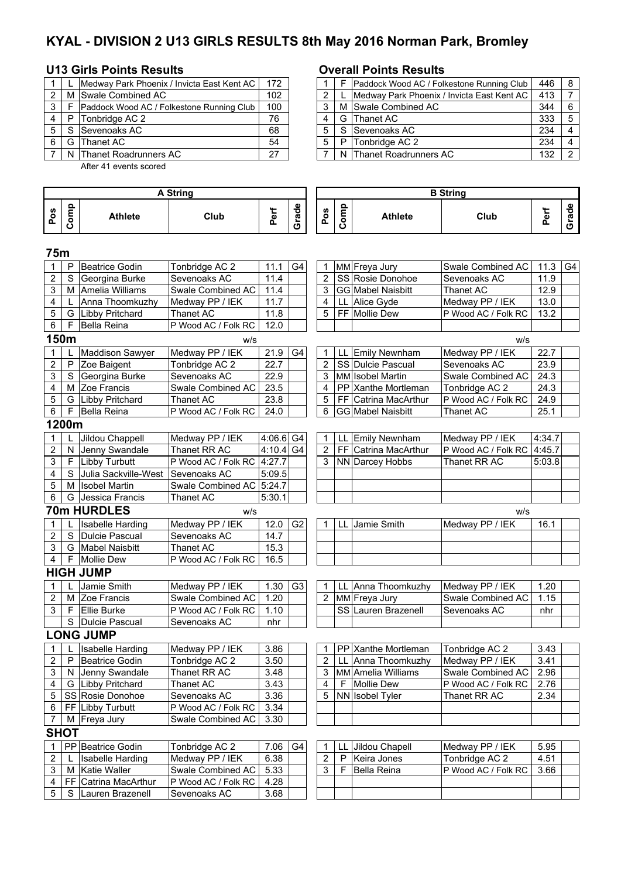# **KYAL - DIVISION 2 U13 GIRLS RESULTS 8th May 2016 Norman Park, Bromley**

### **U13 Girls Points Results Overall Points Results**

|   |   | Medway Park Phoenix / Invicta East Kent AC | 172 |   |   | Paddock Wood AC / Folke  |
|---|---|--------------------------------------------|-----|---|---|--------------------------|
| າ |   | M Swale Combined AC                        | 102 | ◠ |   | Medway Park Phoenix / In |
| 3 |   | Paddock Wood AC / Folkestone Running Club  | 100 |   |   | M Swale Combined AC      |
|   | P | Tonbridge AC 2                             | 76  |   |   | G Thanet AC              |
| 5 |   | Sevenoaks AC                               | 68  | 5 | S | Sevenoaks AC             |
| 6 | G | <b>Thanet AC</b>                           | 54  | 5 | P | Tonbridge AC 2           |
|   |   | N Thanet Roadrunners AC                    | 27  |   |   | N Thanet Roadrunners AC  |

5 S Lauren Brazenell Sevenoaks AC 3.68

After 41 events scored

### **Pos Comp Athlete Club Perf Grade Pos Comp Athlete Club Perf Grade 75m** 1 P Beatrice Godin Tonbridge AC 2 | 11.1 G4 | 1 MM Freya Jury Swale Combined AC | 11.3 G4 2 S Georgina Burke Sevenoaks AC 11.4 | 2 SS Rosie Donohoe Sevenoaks AC 11.9 3 M Amelia Williams Swale Combined AC 11.4 3 GG Mabel Naisbitt Thanet AC 12.9 4 L Anna Thoomkuzhy Medway PP / IEK 11.7 | 4 LL Alice Gyde Medway PP / IEK 13.0 5 G Libby Pritchard Thanet AC 11.8 | | 5 FF Mollie Dew P Wood AC / Folk RC | 13.2 6 | F Bella Reina | P Wood AC / Folk RC | 12.0 **150m** w/s w/s 1 L Maddison Sawyer Medway PP / IEK 21.9 G4 1 LL Emily Newnham Medway PP / IEK 22.7<br>2 P Zoe Baigent Tonbridge AC 2 22.7 2 SS Dulcie Pascual Sevenoaks AC 23.9 2 P Zoe Baigent Tonbridge AC 2 22.7 2 SS Dulcie Pascual Sevenoaks AC 23.9<br>2 S Georgina Burke Sevenoaks AC 22.9 3 MM Isobel Martin Swale Combined AC 24.3 3 S Georgina Burke Sevenoaks AC 22.9 3 MM Isobel Martin Swale Combined AC 24.3<br>4 M Zoe Francis Swale Combined AC 23.5 4 PP Xanthe Mortleman Tonbridge AC 2 24.3 4 M Zoe Francis Swale Combined AC 23.5 4 PP Xanthe Mortleman Tonbridge AC 2 24.3<br>5 G Libby Pritchard Thanet AC 23.8 5 FF Catrina MacArthur P Wood AC / Folk RC 24.9 5 G Libby Pritchard Thanet AC 23.8 5 FF Catrina MacArthur P Wood AC / Folk RC 24.9<br>6 F Bella Reina P Wood AC / Folk RC 24.0 6 GG Mabel Naisbitt Thanet AC 25.1  $6 \mid F \mid$ Bella Reina  $\mid P \mid$  Wood AC / Folk RC 24.0  $\mid$  6 GG **1200m** L Jildou Chappell Medway PP / IEK 4:06.6 G4 1 LL Emily Newnham Medway PP / IEK 4:34.7 2 N Jenny Swandale Thanet RR AC 4:10.4 G4 2 FF Catrina MacArthur P Wood AC / Folk RC 4:45.7 3 | F | Libby Turbutt | P Wood AC / Folk RC | 4:27.7 | | | 3 | NN | Darcey Hobbs | Thanet RR AC | 5:03.8 4 S Julia Sackville-West Sevenoaks AC 5:09.5 5 | M | Isobel Martin | Swale Combined AC | 5:24.7 6 G Jessica Francis Thanet AC 5:30.1 **70m HURDLES** w/s w/s 1 L Isabelle Harding Medway PP / IEK 12.0 G2 1 LL Jamie Smith Medway PP / IEK 16.1 2 S Dulcie Pascual Sevenoaks AC 14.7 3 G Mabel Naisbitt Thanet AC 15.3 4 | F | Mollie Dew | P Wood AC / Folk RC | 16.5 **HIGH JUMP**<br>1 | L Jamie Smith 1 L Jamie Smith Medway PP / IEK 1.30 G3 1 LL Anna Thoomkuzhy Medway PP / IEK 1.20 2 | M Zoe Francis Swale Combined AC | 1.20 | | | | 2 | MM Freya Jury | Swale Combined AC | 1.15 3 F Ellie Burke P Wood AC / Folk RC 1.10 SS Lauren Brazenell Sevenoaks AC nhr S Dulcie Pascual Sevenoaks AC | nhr **LONG JUMP** L Isabelle Harding Medway PP / IEK 3.86 1 PP Xanthe Mortleman Tonbridge AC 2 3.43 2 P Beatrice Godin Tonbridge AC 2 3.50 2 LL Anna Thoomkuzhy Medway PP / IEK 3.41<br>3 N Jenny Swandale Thanet RR AC 3.48 3 MM Amelia Williams Swale Combined AC 2.96 N Jenny Swandale Thanet RR AC 3.48 3 MM Amelia Williams Swale Combined AC 2.96<br>
G Libby Pritchard Thanet AC 3.43 4 F Mollie Dew P Wood AC / Folk RC 2.76 4 G Libby Pritchard Thanet AC 3.43 4 F Mollie Dew P Wood AC / Folk RC 2.76<br>5 SS Rosie Donohoe Sevenoaks AC 3.36 5 NN Isobel Tvler Thanet RR AC 2.34 5 SS Rosie Donohoe Sevenoaks AC 3.36 5 NN Isobel Tyler Thanet RR AC 6 | FF | Libby Turbutt | P Wood AC / Folk RC | 3.34 7 | M Freya Jury | Swale Combined AC 3.30 **SHOT**  1 PP Beatrice Godin Tonbridge AC 2 7.06 G4 1 LL Jildou Chapell Medway PP / IEK 5.95 2 | L |Isabelle Harding | Medway PP / IEK | 6.38 | | 2 | P | Keira Jones | Tonbridge AC 2 | 4.51 3 M Katie Waller Swale Combined AC 5.33 3 F Bella Reina P Wood AC / Folk RC 3.66 4 FF Catrina MacArthur P Wood AC / Folk RC 4.28 **A String B String**

|       |       | Medway Park Phoenix / Invicta East Kent AC | 172 |  |   | Paddock Wood AC / Folkestone Running Club  | 446 | - 8 |
|-------|-------|--------------------------------------------|-----|--|---|--------------------------------------------|-----|-----|
| 2 I   |       | M Swale Combined AC                        | 102 |  |   | Medway Park Phoenix / Invicta East Kent AC | 413 |     |
| 3   F |       | Paddock Wood AC / Folkestone Running Club  | 100 |  |   | M Swale Combined AC                        | 344 |     |
| 4 I P |       | Tonbridge AC 2                             | 76  |  |   | G Thanet AC                                | 333 |     |
|       | 5 I S | Sevenoaks AC                               | 68  |  |   | S Sevenoaks AC                             | 234 |     |
| 6 I   | G     | <b>IThanet AC</b>                          | 54  |  | P | Tonbridge AC 2                             | 234 |     |
|       |       | N Thanet Roadrunners AC                    | 27  |  |   | N Thanet Roadrunners AC                    | 132 |     |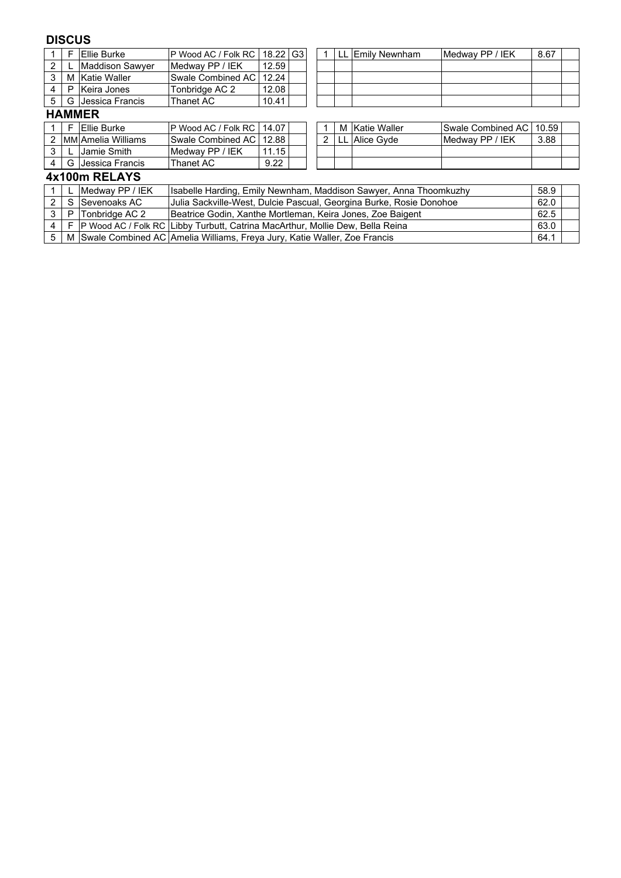## **DISCUS**

|   |               | <b>Ellie Burke</b>  | P Wood AC / Folk RC   18.22   G3 |       |  |  |  | LL Emily Newnham | Medway PP / IEK | 8.67 |  |
|---|---------------|---------------------|----------------------------------|-------|--|--|--|------------------|-----------------|------|--|
|   |               | Maddison Sawver     | <b>IMedway PP / IEK</b>          | 12.59 |  |  |  |                  |                 |      |  |
| 3 | м             | ' Katie Waller      | Swale Combined AC   12.24        |       |  |  |  |                  |                 |      |  |
| 4 | P             | Keira Jones         | Tonbridge AC 2                   | 12.08 |  |  |  |                  |                 |      |  |
| 5 |               | G I Jessica Francis | Thanet AC                        | 10.41 |  |  |  |                  |                 |      |  |
|   | <b>HAMMER</b> |                     |                                  |       |  |  |  |                  |                 |      |  |
|   |               |                     |                                  |       |  |  |  |                  |                 |      |  |

|  | <b>IEllie Burke</b> | IP Wood AC / Folk RC   14.07 |      |  |  | M Katie Waller | <b>ISwale Combined AC   10.59</b> |      |
|--|---------------------|------------------------------|------|--|--|----------------|-----------------------------------|------|
|  | IMMIAmelia Williams | ISwale Combined AC I 12.88   |      |  |  | Alice Gyde     | IMedwav PP / IEK                  | 3.88 |
|  | Jamie Smith         | ' IEK<br>Medway PP /         | 1.15 |  |  |                |                                   |      |
|  | G I Jessica Francis | Thanet AC                    | 9.22 |  |  |                |                                   |      |

|  | M Katie Waller    | Swale Combined AC   10.59 |      |  |
|--|-------------------|---------------------------|------|--|
|  | 2   LL Alice Gyde | Medway PP / IEK           | 3.88 |  |
|  |                   |                           |      |  |
|  |                   |                           |      |  |

## **4x100m RELAYS**

|                | Medway PP / IEK    | Isabelle Harding, Emily Newnham, Maddison Sawyer, Anna Thoomkuzhy                      | 58.9 |  |
|----------------|--------------------|----------------------------------------------------------------------------------------|------|--|
|                | S Sevenoaks AC     | Julia Sackville-West, Dulcie Pascual, Georgina Burke, Rosie Donohoe                    | 62.0 |  |
|                | 3 P Tonbridge AC 2 | Beatrice Godin, Xanthe Mortleman, Keira Jones, Zoe Baigent                             | 62.5 |  |
|                |                    | 4   F  P Wood AC / Folk RC   Libby Turbutt, Catrina MacArthur, Mollie Dew, Bella Reina | 63.0 |  |
| 5 <sup>1</sup> |                    | M Swale Combined AC Amelia Williams, Freya Jury, Katie Waller, Zoe Francis             | 64.1 |  |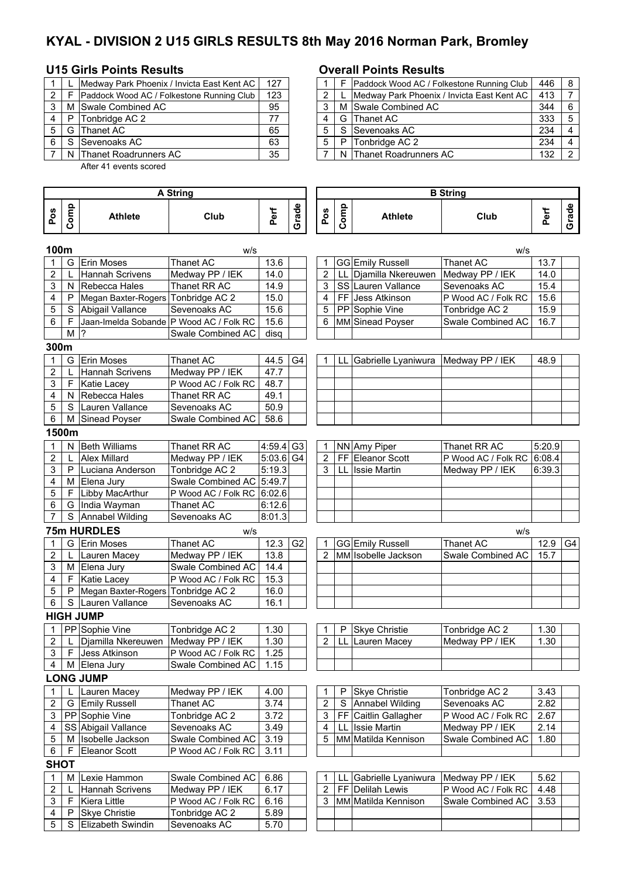# **KYAL - DIVISION 2 U15 GIRLS RESULTS 8th May 2016 Norman Park, Bromley**

### **U15 Girls Points Results Overall Points Results**

|                |   | Medway Park Phoenix / Invicta East Kent AC | 127 |   |    | Paddock Wood AC / Folke  |
|----------------|---|--------------------------------------------|-----|---|----|--------------------------|
| $\overline{2}$ |   | Paddock Wood AC / Folkestone Running Club  | 123 |   |    | Medway Park Phoenix / Ir |
| 3              |   | M Swale Combined AC                        | 95  |   |    | M Swale Combined AC      |
|                | P | Tonbridge AC 2                             | 77  |   |    | G Thanet AC              |
| 5              |   | G Thanet AC                                | 65  | 5 | S. | Sevenoaks AC             |
| 6              |   | Sevenoaks AC                               | 63  | 5 | P  | Tonbridge AC 2           |
|                |   | N Thanet Roadrunners AC                    | 35  |   |    | N Thanet Roadrunners AC  |

After 41 events scored

### **Pos Comp Athlete Club Perf Grade Pos Comp Athlete Club Perf Grade 100m** w/s w/s 1 G Erin Moses Thanet AC 13.6 1 GG Emily Russell Thanet AC 13.7<br>
1 Hannah Scrivens Medway PP / IEK 14.0 2 LL Djamilla Nkereuwen Medway PP / IEK 14.0 L Hannah Scrivens Medway PP / IEK 14.0 2 LL Djamilla Nkereuwen 3 N Rebecca Hales Thanet RR AC 14.9 3 SS Lauren Vallance Sevenoaks AC 15.4 4 | P | Megan Baxter-Rogers | Tonbridge AC 2 | 15.0 | | 4 | FF | Jess Atkinson | P Wood AC / Folk RC | 15.6 5 S Abigail Vallance Sevenoaks AC 15.6 | | 5 PP Sophie Vine Tonbridge AC 2 | 15.9 6 | F |Jaan-Imelda Sobande |P Wood AC / Folk RC | 15.6 | | | 6 |MM Sinead Poyser |Swale Combined AC | 16.7 M |? Swale Combined AC | disq **300m** 1 G Erin Moses Thanet AC 44.5 G4 1 LL Gabrielle Lyaniwura Medway PP / IEK 48.9 2 L Hannah Scrivens Medway PP / IEK 47.7 3 F Katie Lacey P Wood AC / Folk RC 48.7<br>4 N Rebecca Hales Thanet RR AC 49.1 4 N Rebecca Hales Thanet RR AC 49.1<br>5 S I auren Vallance Sevenoaks AC 50.9 5 S Lauren Vallance Sevenoaks AC 50.9<br>6 M Sinead Povser Swale Combined AC 58.6 6 M Sinead Poyser Swale Combined AC 58.6 **1500m** 1 | N | Beth Williams | Thanet RR AC | 4:59.4 G3 | 1 | NN Amy Piper | Thanet RR AC | 5:20.9 2 L Alex Millard Medway PP / IEK 5:03.6 G4 2 FF Eleanor Scott P Wood AC / Folk RC 6:08.4<br>3 P Luciana Anderson Tonbridge AC 2 5:19.3 3 LL Issie Martin Medway PP / IEK 6:39.3 3 P Luciana Anderson Tonbridge AC 2 5:19.3 3 LL Issie Martin Medway PP / IEK 6:39.3 4 | M Elena Jury | Swale Combined AC 5:49.7 5 | F | Libby MacArthur | P Wood AC / Folk RC | 6:02.6 6 G India Wayman Thanet AC 6:12.6 7 S Annabel Wilding Sevenoaks AC 8:01.3 **75m HURDLES**<br>1 G Erin Moses Thanet AC 12.3 G2 1 GG Emily Russell Thanet AC 1 G Erin Moses Thanet AC 12.3 G2 1 GG Emily Russell Thanet AC 12.9 G4 L Lauren Macey Medway PP / IEK | 13.8 | 2 MM Sobelle Jackson Swale Combined AC 15.7 3 | M Elena Jury | Swale Combined AC | 14.4 4 | F | Katie Lacey | P Wood AC / Folk RC | 15.3 5 | P Megan Baxter-Rogers Tonbridge AC 2 | 16.0 6 S Lauren Vallance Sevenoaks AC 16.1 **HIGH JUMP** 1 PP Sophie Vine Tonbridge AC 2 1.30 | | 1 P Skye Christie Tonbridge AC 2 | 1.30 2 L Djamilla Nkereuwen Medway PP / IEK 1.30 2 LL Lauren Macey Medway PP / IEK 1.30<br>3 F Jess Atkinson P Wood AC / Folk RC 1.25 3 | F Jess Atkinson | P Wood AC / Folk RC | 1.25 4 | M Elena Jury Swale Combined AC | 1.15 **LONG JUMP** 1 L Lauren Macey Medway PP / IEK 4.00 1 P Skye Christie Tonbridge AC 2 3.43<br>2 G Emily Russell Thanet AC 3.74 2 S Annabel Wilding Sevenoaks AC 2.82 2 G Emily Russell Thanet AC 3.74 2 S Annabel Wilding Sevenoaks AC 2.82<br>3 PP Sophie Vine Tonbridge AC 2 3.72 3 FF Caitlin Gallagher P Wood AC / Folk RC 2.67 3 PP Sophie Vine Tonbridge AC 2 3.72 3 FF Caitlin Gallagher P Wood AC / Folk RC 2.67<br>4 SS Abigail Vallance Sevenoaks AC 3.49 4 LL Issie Martin Medway PP / IEK 2.14 4 SS Abigail Vallance Sevenoaks AC 3.49 4 LL 5 M Isobelle Jackson Swale Combined AC 3.19 | 5 MM Matilda Kennison Swale Combined AC 1.80 6 | F Eleanor Scott | P Wood AC / Folk RC 3.11 **SHOT** 1 M Lexie Hammon Swale Combined AC 6.86 | | | 1 | LL Gabrielle Lyaniwura Medway PP / IEK | 5.62 2 L Hannah Scrivens Medway PP / IEK 6.17 | 2 FF Delilah Lewis P Wood AC / Folk RC 4.48 3 | F | Kiera Little | P Wood AC / Folk RC | 6.16 | | | | 3 | MM | Matilda Kennison | Swale Combined AC | 3.53 4 | P Skye Christie | Tonbridge AC 2 | 5.89 5 | S Elizabeth Swindin | Sevenoaks AC | 5.70 **A String B String**

|       |     | Medway Park Phoenix / Invicta East Kent AC | 127 |  | Paddock Wood AC / Folkestone Running Club  | 446 |  |
|-------|-----|--------------------------------------------|-----|--|--------------------------------------------|-----|--|
| 2 I   |     | Paddock Wood AC / Folkestone Running Club  | 123 |  | Medway Park Phoenix / Invicta East Kent AC | 413 |  |
| 3 I   |     | M Swale Combined AC                        | 95  |  | M Swale Combined AC                        | 344 |  |
| 4 I P |     | Tonbridge AC 2                             |     |  | G Thanet AC                                | 333 |  |
|       |     | 5 S G Thanet AC                            | 65  |  | S Sevenoaks AC                             | 234 |  |
|       | 6 S | Sevenoaks AC                               | 63  |  | P   Tonbridge AC 2                         | 234 |  |
|       |     | N Thanet Roadrunners AC                    | 35  |  | N Thanet Roadrunners AC                    | 132 |  |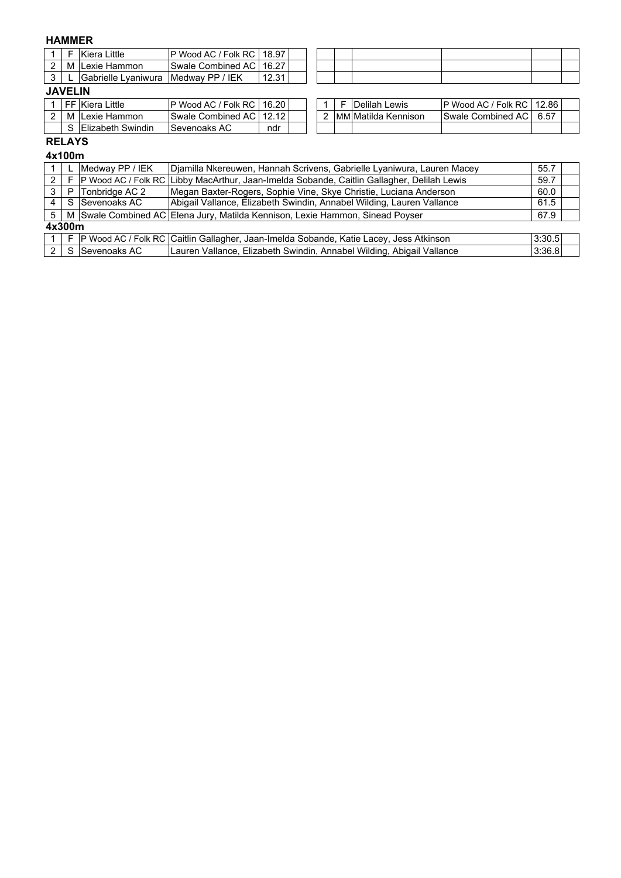# **HAMMER**

|   | Kiera Little        | IP Wood AC / Folk RC I 18.97 |       |  |  |  |  |
|---|---------------------|------------------------------|-------|--|--|--|--|
| L | M ILexie Hammon     | Swale Combined AC   16.27    |       |  |  |  |  |
|   | Gabrielle Lvaniwura | Medway PP / IEK              | 12.31 |  |  |  |  |

## **JAVELIN**

|   | FF Kiera Little           | ' Folk RC<br>IP Wood AC /  | 16.20 |  |  | Delilah<br>Lewis     | IP Wood AC / Folk RC I    | 12.86 |
|---|---------------------------|----------------------------|-------|--|--|----------------------|---------------------------|-------|
| м | Lexie Hammon              | ISwale Combined AC   12.12 |       |  |  | IMMIMatilda Kennison | <b>Swale Combined ACT</b> | 6.57  |
|   | <b>IElizabeth Swindin</b> | ISevenoaks AC              | ndr   |  |  |                      |                           |       |

|  | 1 F IDelilah Lewis    | P Wood AC / Folk RC   12.86 |  |
|--|-----------------------|-----------------------------|--|
|  | 2 MM Matilda Kennison | Swale Combined AC   6.57    |  |
|  |                       |                             |  |

## **RELAYS**

|   | 4x100m                                                                                    |                |                                                                                                 |        |  |  |  |
|---|-------------------------------------------------------------------------------------------|----------------|-------------------------------------------------------------------------------------------------|--------|--|--|--|
|   | Medway PP / IEK<br>Djamilla Nkereuwen, Hannah Scrivens, Gabrielle Lyaniwura, Lauren Macey |                |                                                                                                 |        |  |  |  |
| 2 |                                                                                           |                | F  P Wood AC / Folk RC   Libby MacArthur, Jaan-Imelda Sobande, Caitlin Gallagher, Delilah Lewis | 59.7   |  |  |  |
| 3 | P <sub>1</sub>                                                                            | Tonbridge AC 2 | Megan Baxter-Rogers, Sophie Vine, Skye Christie, Luciana Anderson                               | 60.0   |  |  |  |
| 4 |                                                                                           | S Sevenoaks AC | Abigail Vallance, Elizabeth Swindin, Annabel Wilding, Lauren Vallance                           | 61.5   |  |  |  |
| 5 |                                                                                           |                | M Swale Combined AC Elena Jury, Matilda Kennison, Lexie Hammon, Sinead Poyser                   | 67.9   |  |  |  |
|   | 4x300m                                                                                    |                |                                                                                                 |        |  |  |  |
|   | E                                                                                         |                | P Wood AC / Folk RC   Caitlin Gallagher, Jaan-Imelda Sobande, Katie Lacey, Jess Atkinson        | 3:30.5 |  |  |  |
| 2 |                                                                                           | S Sevenoaks AC | Lauren Vallance, Elizabeth Swindin, Annabel Wilding, Abigail Vallance                           | 3:36.8 |  |  |  |